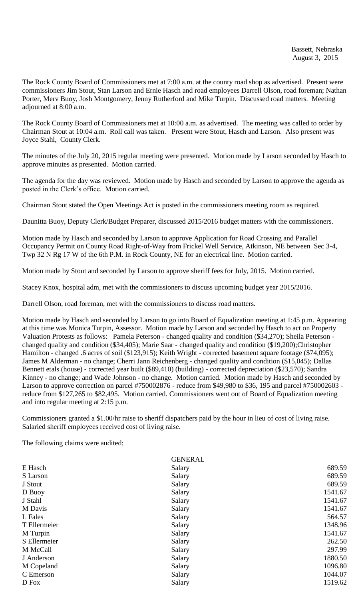The Rock County Board of Commissioners met at 7:00 a.m. at the county road shop as advertised. Present were commissioners Jim Stout, Stan Larson and Ernie Hasch and road employees Darrell Olson, road foreman; Nathan Porter, Merv Buoy, Josh Montgomery, Jenny Rutherford and Mike Turpin. Discussed road matters. Meeting adjourned at 8:00 a.m.

The Rock County Board of Commissioners met at 10:00 a.m. as advertised. The meeting was called to order by Chairman Stout at 10:04 a.m. Roll call was taken. Present were Stout, Hasch and Larson. Also present was Joyce Stahl, County Clerk.

The minutes of the July 20, 2015 regular meeting were presented. Motion made by Larson seconded by Hasch to approve minutes as presented. Motion carried.

The agenda for the day was reviewed. Motion made by Hasch and seconded by Larson to approve the agenda as posted in the Clerk's office. Motion carried.

Chairman Stout stated the Open Meetings Act is posted in the commissioners meeting room as required.

Daunitta Buoy, Deputy Clerk/Budget Preparer, discussed 2015/2016 budget matters with the commissioners.

Motion made by Hasch and seconded by Larson to approve Application for Road Crossing and Parallel Occupancy Permit on County Road Right-of-Way from Frickel Well Service, Atkinson, NE between Sec 3-4, Twp 32 N Rg 17 W of the 6th P.M. in Rock County, NE for an electrical line. Motion carried.

Motion made by Stout and seconded by Larson to approve sheriff fees for July, 2015. Motion carried.

Stacey Knox, hospital adm, met with the commissioners to discuss upcoming budget year 2015/2016.

Darrell Olson, road foreman, met with the commissioners to discuss road matters.

Motion made by Hasch and seconded by Larson to go into Board of Equalization meeting at 1:45 p.m. Appearing at this time was Monica Turpin, Assessor. Motion made by Larson and seconded by Hasch to act on Property Valuation Protests as follows: Pamela Peterson - changed quality and condition (\$34,270); Sheila Peterson changed quality and condition (\$34,405); Marie Saar - changed quality and condition (\$19,200);Christopher Hamilton - changed .6 acres of soil (\$123,915); Keith Wright - corrected basement square footage (\$74,095); James M Alderman - no change; Cherri Jann Reichenberg - changed quality and condition (\$15,045); Dallas Bennett etals (house) - corrected year built (\$89,410) (building) - corrected depreciation (\$23,570); Sandra Kinney - no change; and Wade Johnson - no change. Motion carried. Motion made by Hasch and seconded by Larson to approve correction on parcel #750002876 - reduce from \$49,980 to \$36, 195 and parcel #750002603 reduce from \$127,265 to \$82,495. Motion carried. Commissioners went out of Board of Equalization meeting and into regular meeting at 2:15 p.m.

Commissioners granted a \$1.00/hr raise to sheriff dispatchers paid by the hour in lieu of cost of living raise. Salaried sheriff employees received cost of living raise.

The following claims were audited:

|              | <b>GENERAL</b> |         |
|--------------|----------------|---------|
| E Hasch      | Salary         | 689.59  |
| S Larson     | Salary         | 689.59  |
| J Stout      | Salary         | 689.59  |
| D Buoy       | Salary         | 1541.67 |
| J Stahl      | Salary         | 1541.67 |
| M Davis      | Salary         | 1541.67 |
| L Fales      | Salary         | 564.57  |
| T Ellermeier | Salary         | 1348.96 |
| M Turpin     | Salary         | 1541.67 |
| S Ellermeier | Salary         | 262.50  |
| M McCall     | Salary         | 297.99  |
| J Anderson   | Salary         | 1880.50 |
| M Copeland   | Salary         | 1096.80 |
| C Emerson    | Salary         | 1044.07 |
| D Fox        | Salary         | 1519.62 |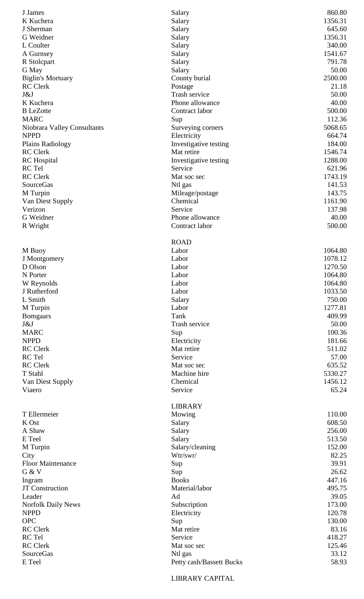| J James                                    | Salary                              | 860.80           |
|--------------------------------------------|-------------------------------------|------------------|
| K Kuchera                                  | Salary                              | 1356.31          |
| J Sherman                                  | Salary                              | 645.60           |
| G Weidner                                  | Salary                              | 1356.31          |
| L Coulter                                  | Salary                              | 340.00           |
| A Gurnsey                                  | Salary                              | 1541.67          |
| R Stolcpart                                | Salary                              | 791.78           |
| G May                                      | Salary                              | 50.00            |
| <b>Biglin's Mortuary</b>                   | County burial                       | 2500.00          |
| <b>RC</b> Clerk                            | Postage                             | 21.18            |
| J&J                                        | Trash service                       | 50.00            |
| K Kuchera                                  | Phone allowance                     | 40.00            |
| <b>B</b> LeZotte                           | Contract labor                      | 500.00           |
| <b>MARC</b>                                | Sup                                 | 112.36           |
| Niobrara Valley Consultants<br><b>NPPD</b> | Surveying corners                   | 5068.65          |
|                                            | Electricity                         | 664.74<br>184.00 |
| Plains Radiology<br><b>RC</b> Clerk        | Investigative testing<br>Mat retire | 1546.74          |
|                                            |                                     | 1288.00          |
| <b>RC</b> Hospital<br>RC Tel               | Investigative testing<br>Service    | 621.96           |
| <b>RC</b> Clerk                            | Mat soc sec                         | 1743.19          |
| <b>SourceGas</b>                           | Ntl gas                             | 141.53           |
| M Turpin                                   | Mileage/postage                     | 143.75           |
| Van Diest Supply                           | Chemical                            | 1161.90          |
| Verizon                                    | Service                             | 137.98           |
| G Weidner                                  | Phone allowance                     | 40.00            |
| R Wright                                   | Contract labor                      | 500.00           |
|                                            |                                     |                  |
|                                            | <b>ROAD</b>                         |                  |
| M Buoy                                     | Labor                               | 1064.80          |
| J Montgomery                               | Labor                               | 1078.12          |
| D Olson                                    | Labor                               | 1270.50          |
| N Porter                                   | Labor                               | 1064.80          |
| W Reynolds                                 | Labor                               | 1064.80          |
| J Rutherford                               | Labor                               | 1033.50          |
| L Smith                                    | Salary                              | 750.00           |
| M Turpin                                   | Labor                               | 1277.81          |
| <b>Bomgaars</b>                            | Tank                                | 409.99           |
| J&J                                        | Trash service                       | 50.00            |
| <b>MARC</b>                                | Sup                                 | 100.36           |
| <b>NPPD</b>                                | Electricity                         | 181.66           |
| <b>RC</b> Clerk                            | Mat retire                          | 511.02           |
| RC Tel                                     | Service                             | 57.00            |
| <b>RC</b> Clerk                            | Mat soc sec                         | 635.52           |
| T Stahl                                    | Machine hire                        | 5330.27          |
| Van Diest Supply                           | Chemical                            | 1456.12          |
| Viaero                                     | Service                             | 65.24            |
|                                            |                                     |                  |
|                                            | <b>LIBRARY</b>                      |                  |
| T Ellermeier                               | Mowing                              | 110.00           |
| K Ost                                      | Salary                              | 608.50           |
| A Shaw<br>E Teel                           | Salary                              | 256.00<br>513.50 |
| M Turpin                                   | Salary<br>Salary/cleaning           | 152.00           |
| City                                       | Wtr/swr/                            | 82.25            |
| <b>Floor Maintenance</b>                   | Sup                                 | 39.91            |
| G & V                                      | Sup                                 | 26.62            |
| Ingram                                     | <b>Books</b>                        | 447.16           |
| <b>JT</b> Construction                     | Material/labor                      | 495.75           |
| Leader                                     | Ad                                  | 39.05            |
| <b>Norfolk Daily News</b>                  | Subscription                        | 173.00           |
| <b>NPPD</b>                                | Electricity                         | 120.78           |
| <b>OPC</b>                                 | Sup                                 | 130.00           |
| <b>RC</b> Clerk                            | Mat retire                          | 83.16            |
| RC Tel                                     | Service                             | 418.27           |
| RC Clerk                                   | Mat soc sec                         | 125.46           |
| <b>SourceGas</b>                           | Ntl gas                             | 33.12            |
| E Teel                                     | Petty cash/Bassett Bucks            | 58.93            |

LIBRARY CAPITAL